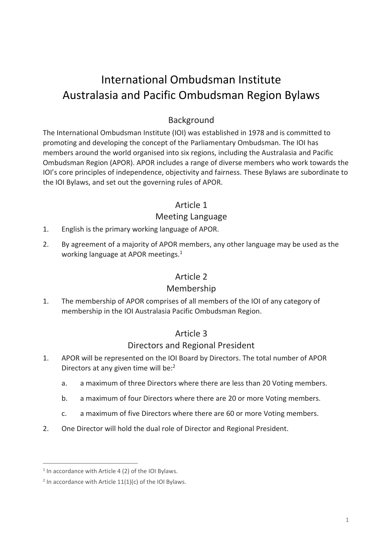# International Ombudsman Institute Australasia and Pacific Ombudsman Region Bylaws

## Background

The International Ombudsman Institute (IOI) was established in 1978 and is committed to promoting and developing the concept of the Parliamentary Ombudsman. The IOI has members around the world organised into six regions, including the Australasia and Pacific Ombudsman Region (APOR). APOR includes a range of diverse members who work towards the IOI's core principles of independence, objectivity and fairness. These Bylaws are subordinate to the IOI Bylaws, and set out the governing rules of APOR.

#### Article 1

## Meeting Language

- 1. English is the primary working language of APOR.
- 2. By agreement of a majority of APOR members, any other language may be used as the working language at APOR meetings.<sup>1</sup>

## Article 2

#### Membership

1. The membership of APOR comprises of all members of the IOI of any category of membership in the IOI Australasia Pacific Ombudsman Region.

#### Article 3

#### Directors and Regional President

- 1. APOR will be represented on the IOI Board by Directors. The total number of APOR Directors at any given time will be:<sup>2</sup>
	- a. a maximum of three Directors where there are less than 20 Voting members.
	- b. a maximum of four Directors where there are 20 or more Voting members.
	- c. a maximum of five Directors where there are 60 or more Voting members.
- 2. One Director will hold the dual role of Director and Regional President.

 $\overline{a}$ 

<sup>&</sup>lt;sup>1</sup> In accordance with Article 4 (2) of the IOI Bylaws.

 $2$  In accordance with Article 11(1)(c) of the IOI Bylaws.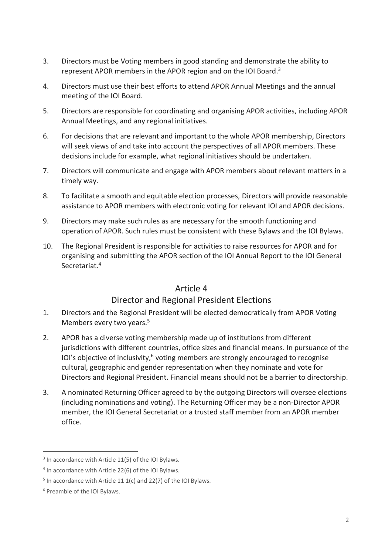- 3. Directors must be Voting members in good standing and demonstrate the ability to represent APOR members in the APOR region and on the IOI Board.<sup>3</sup>
- 4. Directors must use their best efforts to attend APOR Annual Meetings and the annual meeting of the IOI Board.
- 5. Directors are responsible for coordinating and organising APOR activities, including APOR Annual Meetings, and any regional initiatives.
- 6. For decisions that are relevant and important to the whole APOR membership, Directors will seek views of and take into account the perspectives of all APOR members. These decisions include for example, what regional initiatives should be undertaken.
- 7. Directors will communicate and engage with APOR members about relevant matters in a timely way.
- 8. To facilitate a smooth and equitable election processes, Directors will provide reasonable assistance to APOR members with electronic voting for relevant IOI and APOR decisions.
- 9. Directors may make such rules as are necessary for the smooth functioning and operation of APOR. Such rules must be consistent with these Bylaws and the IOI Bylaws.
- 10. The Regional President is responsible for activities to raise resources for APOR and for organising and submitting the APOR section of the IOI Annual Report to the IOI General Secretariat. 4

## Article 4

## Director and Regional President Elections

- 1. Directors and the Regional President will be elected democratically from APOR Voting Members every two years.<sup>5</sup>
- 2. APOR has a diverse voting membership made up of institutions from different jurisdictions with different countries, office sizes and financial means. In pursuance of the IOI's objective of inclusivity, $6$  voting members are strongly encouraged to recognise cultural, geographic and gender representation when they nominate and vote for Directors and Regional President. Financial means should not be a barrier to directorship.
- 3. A nominated Returning Officer agreed to by the outgoing Directors will oversee elections (including nominations and voting). The Returning Officer may be a non-Director APOR member, the IOI General Secretariat or a trusted staff member from an APOR member office.

 $\overline{a}$ 

<sup>&</sup>lt;sup>3</sup> In accordance with Article 11(5) of the IOI Bylaws.

<sup>4</sup> In accordance with Article 22(6) of the IOI Bylaws.

<sup>&</sup>lt;sup>5</sup> In accordance with Article 11 1(c) and 22(7) of the IOI Bylaws.

<sup>6</sup> Preamble of the IOI Bylaws.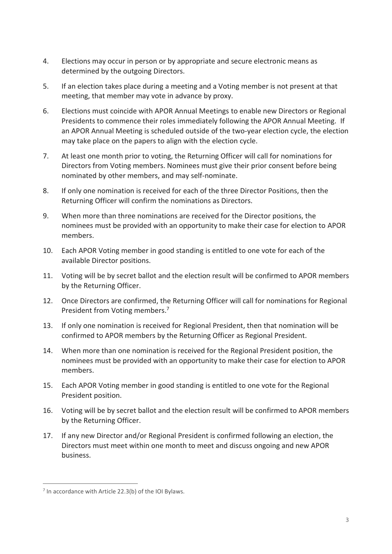- 4. Elections may occur in person or by appropriate and secure electronic means as determined by the outgoing Directors.
- 5. If an election takes place during a meeting and a Voting member is not present at that meeting, that member may vote in advance by proxy.
- 6. Elections must coincide with APOR Annual Meetings to enable new Directors or Regional Presidents to commence their roles immediately following the APOR Annual Meeting. If an APOR Annual Meeting is scheduled outside of the two-year election cycle, the election may take place on the papers to align with the election cycle.
- 7. At least one month prior to voting, the Returning Officer will call for nominations for Directors from Voting members. Nominees must give their prior consent before being nominated by other members, and may self-nominate.
- 8. If only one nomination is received for each of the three Director Positions, then the Returning Officer will confirm the nominations as Directors.
- 9. When more than three nominations are received for the Director positions, the nominees must be provided with an opportunity to make their case for election to APOR members.
- 10. Each APOR Voting member in good standing is entitled to one vote for each of the available Director positions.
- 11. Voting will be by secret ballot and the election result will be confirmed to APOR members by the Returning Officer.
- 12. Once Directors are confirmed, the Returning Officer will call for nominations for Regional President from Voting members.<sup>7</sup>
- 13. If only one nomination is received for Regional President, then that nomination will be confirmed to APOR members by the Returning Officer as Regional President.
- 14. When more than one nomination is received for the Regional President position, the nominees must be provided with an opportunity to make their case for election to APOR members.
- 15. Each APOR Voting member in good standing is entitled to one vote for the Regional President position.
- 16. Voting will be by secret ballot and the election result will be confirmed to APOR members by the Returning Officer.
- 17. If any new Director and/or Regional President is confirmed following an election, the Directors must meet within one month to meet and discuss ongoing and new APOR business.

 $\overline{a}$ 

 $<sup>7</sup>$  In accordance with Article 22.3(b) of the IOI Bylaws.</sup>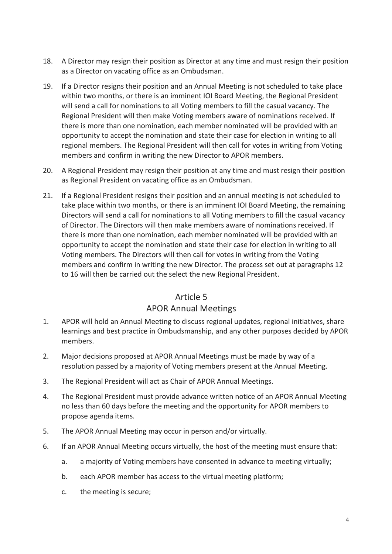- 18. A Director may resign their position as Director at any time and must resign their position as a Director on vacating office as an Ombudsman.
- 19. If a Director resigns their position and an Annual Meeting is not scheduled to take place within two months, or there is an imminent IOI Board Meeting, the Regional President will send a call for nominations to all Voting members to fill the casual vacancy. The Regional President will then make Voting members aware of nominations received. If there is more than one nomination, each member nominated will be provided with an opportunity to accept the nomination and state their case for election in writing to all regional members. The Regional President will then call for votes in writing from Voting members and confirm in writing the new Director to APOR members.
- 20. A Regional President may resign their position at any time and must resign their position as Regional President on vacating office as an Ombudsman.
- 21. If a Regional President resigns their position and an annual meeting is not scheduled to take place within two months, or there is an imminent IOI Board Meeting, the remaining Directors will send a call for nominations to all Voting members to fill the casual vacancy of Director. The Directors will then make members aware of nominations received. If there is more than one nomination, each member nominated will be provided with an opportunity to accept the nomination and state their case for election in writing to all Voting members. The Directors will then call for votes in writing from the Voting members and confirm in writing the new Director. The process set out at paragraphs 12 to 16 will then be carried out the select the new Regional President.

## Article 5

## APOR Annual Meetings

- 1. APOR will hold an Annual Meeting to discuss regional updates, regional initiatives, share learnings and best practice in Ombudsmanship, and any other purposes decided by APOR members.
- 2. Major decisions proposed at APOR Annual Meetings must be made by way of a resolution passed by a majority of Voting members present at the Annual Meeting.
- 3. The Regional President will act as Chair of APOR Annual Meetings.
- 4. The Regional President must provide advance written notice of an APOR Annual Meeting no less than 60 days before the meeting and the opportunity for APOR members to propose agenda items.
- 5. The APOR Annual Meeting may occur in person and/or virtually.
- 6. If an APOR Annual Meeting occurs virtually, the host of the meeting must ensure that:
	- a. a majority of Voting members have consented in advance to meeting virtually;
	- b. each APOR member has access to the virtual meeting platform;
	- c. the meeting is secure;